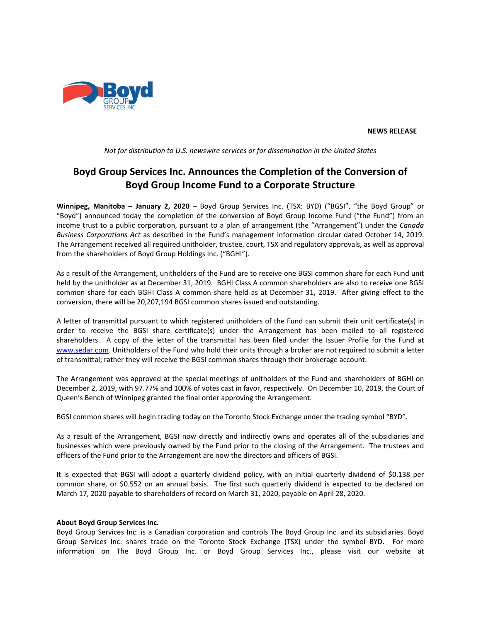

**NEWS RELEASE**

*Not for distribution to U.S. newswire services or for dissemination in the United States*

# **Boyd Group Services Inc. Announces the Completion of the Conversion of Boyd Group Income Fund to a Corporate Structure**

**Winnipeg, Manitoba – January 2, 2020** – Boyd Group Services Inc. (TSX: BYD) ("BGSI", "the Boyd Group" or "Boyd") announced today the completion of the conversion of Boyd Group Income Fund ("the Fund") from an income trust to a public corporation, pursuant to a plan of arrangement (the "Arrangement") under the *Canada Business Corporations Act* as described in the Fund's management information circular dated October 14, 2019. The Arrangement received all required unitholder, trustee, court, TSX and regulatory approvals, as well as approval from the shareholders of Boyd Group Holdings Inc. ("BGHI").

As a result of the Arrangement, unitholders of the Fund are to receive one BGSI common share for each Fund unit held by the unitholder as at December 31, 2019. BGHI Class A common shareholders are also to receive one BGSI common share for each BGHI Class A common share held as at December 31, 2019. After giving effect to the conversion, there will be 20,207,194 BGSI common shares issued and outstanding.

A letter of transmittal pursuant to which registered unitholders of the Fund can submit their unit certificate(s) in order to receive the BGSI share certificate(s) under the Arrangement has been mailed to all registered shareholders. A copy of the letter of the transmittal has been filed under the Issuer Profile for the Fund at [www.sedar.com.](http://www.sedar.com/) Unitholders of the Fund who hold their units through a broker are not required to submit a letter of transmittal; rather they will receive the BGSI common shares through their brokerage account.

The Arrangement was approved at the special meetings of unitholders of the Fund and shareholders of BGHI on December 2, 2019, with 97.77% and 100% of votes cast in favor, respectively. On December 10, 2019, the Court of Queen's Bench of Winnipeg granted the final order approving the Arrangement.

BGSI common shares will begin trading today on the Toronto Stock Exchange under the trading symbol "BYD".

As a result of the Arrangement, BGSI now directly and indirectly owns and operates all of the subsidiaries and businesses which were previously owned by the Fund prior to the closing of the Arrangement. The trustees and officers of the Fund prior to the Arrangement are now the directors and officers of BGSI.

It is expected that BGSI will adopt a quarterly dividend policy, with an initial quarterly dividend of \$0.138 per common share, or \$0.552 on an annual basis. The first such quarterly dividend is expected to be declared on March 17, 2020 payable to shareholders of record on March 31, 2020, payable on April 28, 2020.

## **About Boyd Group Services Inc.**

Boyd Group Services Inc. is a Canadian corporation and controls The Boyd Group Inc. and its subsidiaries. Boyd Group Services Inc. shares trade on the Toronto Stock Exchange (TSX) under the symbol BYD. For more information on The Boyd Group Inc. or Boyd Group Services Inc., please visit our website at